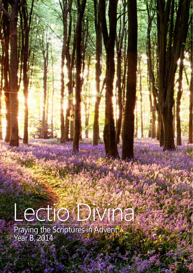# Lectio Divina

Praying the Scriptures in Advent Year B, 2014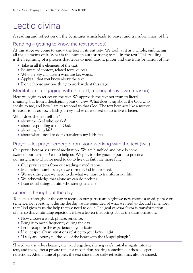## Lectio divina

A reading and reflection on the Scriptures which leads to prayer and transformation of life

#### Reading – getting to know the text (senses)

At this stage we come to know the text in its entirety. We look at it as a whole, embracing all the elements of it. What is the human author trying to tell in the text? This reading is the beginning of a process that leads to meditation, prayer and the transformation of life.

- Take in all the elements of the text.
- Be aware of context, related texts, quotes.
- Who are key characters; what are key words.
- Apply all that you know about the text.
- Don't choose any one thing to work with at this stage.

#### Meditation – engaging with the text, making it my own (reason)

Here we begin to reflect on the text. We approach the text not from its literal meaning, but from a theological point of view. What does it say about the God who speaks to me, and how I am to respond to that God. The text here acts like a mirror; it reveals to us our own faith journey and what we need to do to live it better.

What does the text tell me?

- about the God who speaks?
- about responding to that God?
- about my faith life?
- about what I need to do to transform my faith life?

#### Prayer – let prayer emerge from your working with the text (will)

Our prayer here arises out of meditation. We are humbled and have become aware of our need for God to help us. We pray for the grace to put into practice our insight into what we need to do to live our faith life more fully

- Our prayer stems from our reading / meditation.
- Meditation humbles us, so we turn to God in our need.
- We seek the grace we need to do what we must to transform our life.
- We acknowledge that alone we can do nothing.
- I can do all things in him who strengthens me

#### Action – throughout the day

To help us throughout the day to focus on our particular insight we now choose a word, phrase or sentence. By repeating it during the day we are reminded of what we need to do, and remember that God gives to us the help that we need to do it. The goal of *lectio divina* is transformation of life, so this continuing repetition is like a leaven that brings about the transformation.

- Now choose a word, phrase, sentence.
- Bring it to mind frequently during the day.
- Let it recapture the experience of your *lectio.*
- Use it especially in situations relating to your *lectio insight.*
- "Daily and hourly till the soil of the heart with the Gospel plough".

Shared *lectio* involves hearing the word together, sharing one's initial insights into the text, and then, after a private time for meditation, sharing something of those deeper reflections. After a time of prayer, the text chosen for daily reflection may also be shared.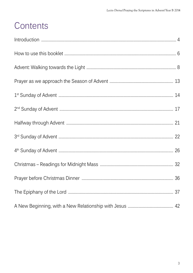## Contents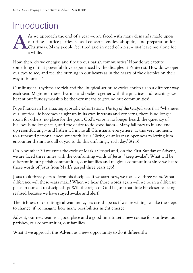## Introduction

As we approach the end of a year we are faced with many demands made upon our time – office parties, school concerts, endless shopping and preparation for Christmas. Many people feel tired and in need of a rest – just leave me alone for a while. **A**

How, then, do we energise and fire up our parish communities? How do we capture something of that powerful drive experienced by the disciples at Pentecost? How do we open our eyes to see, and feel the burning in our hearts as in the hearts of the disciples on their way to Emmaus?

Our liturgical rhythms are rich and the liturgical scripture cycles enrich us in a different way each year. Might not these rhythms and cycles together with the practices and teachings we hear at our Sunday worship be the very means to ground our communities?

Pope Francis in his amazing apostolic exhortation, *The Joy of the Gospel*, says that "whenever our interior life becomes caught up in its own interests and concerns, there is no longer room for others, no place for the poor. God's voice is no longer heard, the quiet joy of his love is no longer felt, and the desire to do good fades… Many fall prey to it, and end up resentful, angry and listless… I invite all Christians, everywhere, at this very moment, to a renewed personal encounter with Jesus Christ, or at least an openness to letting him encounter them; I ask all of you to do this unfailingly each day."(#2,3)

On November 30 we enter the cycle of Mark's Gospel and, on the First Sunday of Advent, we are faced three times with the confronting words of Jesus, "keep awake". What will be different in our parish communities, our families and religious communities since we heard those words of Jesus from Mark's gospel three years ago?

Jesus took three years to form his disciples. If we start now, we too have three years. What difference will these years make? When we hear those words again will we be in a different place in our call to discipleship? Will the reign of God be just that little bit closer to being realised because we have stayed awake and alert?

The richness of our liturgical year and cycles can shape us if we are willing to take the steps to change, if we imagine how many possibilities might emerge.

Advent, our new year, is a good place and a good time to set a new course for our lives, our parishes, our communities, our families.

What if we approach this Advent as a new opportunity to do it differently?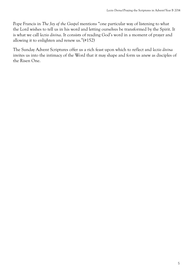Pope Francis in *The Joy of the Gospel* mentions "one particular way of listening to what the Lord wishes to tell us in his word and letting ourselves be transformed by the Spirit. It is what we call *lectio divina*. It consists of reading God's word in a moment of prayer and allowing it to enlighten and renew us."(#152)

The Sunday Advent Scriptures offer us a rich feast upon which to reflect and *lectio divina* invites us into the intimacy of the Word that it may shape and form us anew as disciples of the Risen One.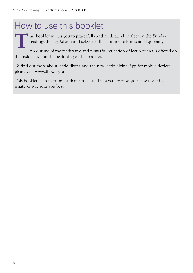## How to use this booklet

his booklet invites you to prayerfully and meditatively reflect on the Sunday readings during Advent and select readings from Christmas and Epiphany.

An outline of the meditative and prayerful reflection of lectio divina is offered on the inside cover at the beginning of this booklet. **T**

To find out more about lectio divina and the new lectio divina App for mobile devices, please visit www.dbb.org.au

This booklet is an instrument that can be used in a variety of ways. Please use it in whatever way suits you best.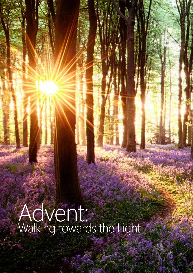Advent: Walking towards the Light

*Lectio Divina***|**Praying the Scriptures in Advent**|**Year B 2014

**7**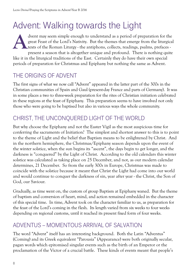## Advent: Walking towards the Light

dvent may seem simple enough to understand as a period of preparation for the great Feast of the Lord's Nativity. But the themes that emerge from the liturgical texts of the Roman Liturgy - the antiphons, collects, readings, psalms, prefaces present a season that is altogether unique and profound. There is nothing quite like it in the liturgical traditions of the East. Certainly they do have their own special periods of preparation for Christmas and Epiphany but nothing the same as Advent. **A**

## THE ORIGINS OF ADVENT

The first signs of what we now call "Advent" appeared in the latter part of the 300s in the Christian communities of Spain and Gaul (present-day France and parts of Germany). It was in some places a two to three-week preparation for the rites of Christian initiation celebrated in these regions at the feast of Epiphany. This preparation seems to have involved not only those who were going to be baptised but also in various ways the whole community.

## CHRIST, THE UNCONQUERED LIGHT OF THE WORLD

But why choose the Epiphany and not the Easter Vigil as the most auspicious time for conferring the sacraments of Initiation? The simplest and shortest answer to this is to point to the theme of Light and the belief that Baptism means to be enlightened by Christ. And in the northern hemisphere, the Christmas/Epiphany season depends upon the event of the winter solstice, when the sun begins its "ascent", the days begin to get longer, and the darkness is "conquered" by the Light of Christ. According to the old calendars this winter solstice was calculated as taking place on 25 December, and not, as our modern calendar determines, 21 December. So from the early 300s in Europe, Christmas was made to coincide with the solstice because it meant that Christ the Light had come into our world and would continue to conquer the darkness of sin, year after year - the Christ, the Son of God, our Saviour.

Gradually, as time went on, the custom of group Baptism at Epiphany waned. But the theme of baptism and conversion of heart, mind, and action remained embedded in the character of this special time. In time, Advent took on the character familiar to us, as preparation for the feast of the Lord's coming in the flesh. Its length varied from six weeks to four weeks depending on regional customs, until it reached its present fixed form of four weeks.

#### ADVENTUS – MOMENTOUS ARRIVAL OF SALVATION

The word "Advent" itself has an interesting background. Both the Latin "Adventus" (Coming) and its Greek equivalent "Parousia" (Appearance) were both originally secular, pagan words which epitomised singular events such as the birth of an Emperor or the proclamation of the Victor of a crucial battle. These kinds of events meant that people's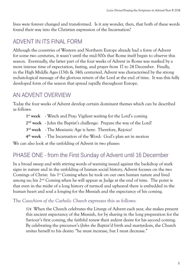lives were forever changed and transformed. Is it any wonder, then, that both of these words found their way into the Christian expression of the Incarnation?

#### ADVENT IN ITS FINAL FORM

Although the countries of Western and Northern Europe already had a form of Advent for some two centuries, it wasn't until the mid-500s that Rome itself began to observe this season. Eventually, the latter part of the four weeks of Advent in Rome was marked by a more intense time of expectation, fasting, and prayer from 17 to 24 December. Finally, in the High Middle Ages (13th & 14th centuries), Advent was characterised by the strong eschatological message of the glorious return of the Lord at the end of time. It was this fully developed form of the season that spread rapidly throughout Europe.

#### AN ADVENT OVERVIEW

Today the four weeks of Advent develop certain dominant themes which can be described as follows:

- **1st week** Watch and Pray: Vigilant waiting for the Lord's coming
- **2nd week** John the Baptist's challenge: Prepare the way of the Lord!
- **3rd week** The Messianic Age is here: Therefore, Rejoice!
- **4th week** The Incarnation of the Word: God's plan set in motion

We can also look at the unfolding of Advent in two phases:

#### PHASE ONE - from the First Sunday of Advent until 16 December

In a broad sweep and with stirring words of warning issued against the backdrop of stark signs in nature and in the unfolding of human social history, Advent focuses on the two Comings of Christ: his 1<sup>st</sup> Coming when he took on our own human nature and lived among us; his 2<sup>nd</sup> Coming when he will appear as Judge at the end of time. The point is that even in the midst of a long history of turmoil and upheaval there is embedded in the human heart and soul a longing for the Messiah and the expectancy of his coming.

#### The *Catechism of the Catholic Church* expresses this as follows:

524 When the Church celebrates the Liturgy of Advent each year, she makes present this ancient expectancy of the Messiah, for by sharing in the long preparation for the Saviour's first coming, the faithful renew their ardent desire for his second coming. By celebrating the precursor's (*John the Baptist's*) birth and martyrdom, the Church unites herself to his desire: "he must increase, but I must decrease."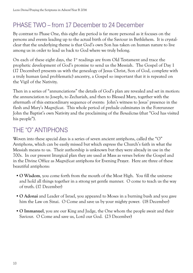## PHASE TWO – from 17 December to 24 December

By contrast to Phase One, this eight day period is far more personal as it focuses on the persons and events leading up to the actual birth of the Saviour in Bethlehem. It is crystalclear that the underlying theme is that God's own Son has taken on human nature to live among us in order to lead us back to God where we truly belong.

On each of these eight days, the 1st readings are from Old Testament and trace the prophetic development of God's promise to send us the Messiah. The Gospel of Day 1 (17 December) presents us with the genealogy of Jesus Christ, Son of God, complete with a truly human (and problematic) ancestry, a Gospel so important that it is repeated on the Vigil of the Nativity.

Then in a series of "annunciations" the details of God's plan are revealed and set in motion: the annunciation to Joseph, to Zechariah, and then to Blessed Mary, together with the aftermath of this extraordinary sequence of events: John's witness to Jesus' presence in the flesh and Mary's *Magnificat*. This whole period of prelude culminates in the Forerunner John the Baptist's own Nativity and the proclaiming of the *Benedictus* (that "God has visited his people").

## THE "O" ANTIPHONS

Woven into these special days is a series of seven ancient antiphons, called the "O" Antiphons, which can be easily missed but which express the Church's faith in what the Messiah means to us. Their authorship is unknown but they were already in use in the 700s. In our present liturgical plan they are used at Mass as verses before the Gospel and in the Divine Office as *Magnificat* antiphons for Evening Prayer. Here are three of these beautiful antiphons:

- • **O Wisdom**, you come forth from the mouth of the Most High. You fill the universe and hold all things together in a strong yet gentle manner. O come to teach us the way of truth. (17 December)
- • **O Adonai** and Leader of Israel, you appeared to Moses in a burning bush and you gave him the Law on Sinai. O Come and save us by your mighty power. (18 December)
- • **O Immanuel**, you are our King and Judge, the One whom the people await and their Saviour. O Come and save us, Lord our God. (23 December)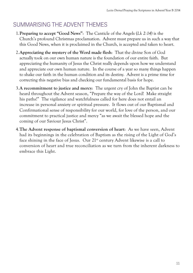## SUMMARISING THE ADVENT THEMES

- 1.**Preparing to accept "Good News"**: The Canticle of the Angels (*Lk 2:14*) is the Church's profound Christmas proclamation. Advent must prepare us in such a way that this Good News, when it is proclaimed in the Church, is accepted and taken to heart.
- 2.**Appreciating the mystery of the Word made flesh**: That the divine Son of God actually took on our own human nature is the foundation of our entire faith. But appreciating the humanity of Jesus the Christ really depends upon how we understand and appreciate our own human nature. In the course of a year so many things happen to shake our faith in the human condition and its destiny. Advent is a prime time for correcting this negative bias and checking our fundamental basis for hope.
- 3.**A recommitment to justice and mercy**: The urgent cry of John the Baptist can be heard throughout the Advent season, "Prepare the way of the Lord! Make straight his paths!" The vigilance and watchfulness called for here does not entail an increase in personal anxiety or spiritual pressure. It flows out of our Baptismal and Confirmational sense of responsibility for our world, for love of the person, and our commitment to practical justice and mercy "as we await the blessed hope and the coming of our Saviour Jesus Christ".
- 4.**The Advent response of baptismal conversion of heart**: As we have seen, Advent had its beginnings in the celebration of Baptism as the rising of the Light of God's face shining in the face of Jesus. Our  $21<sup>st</sup>$  century Advent likewise is a call to conversion of heart and true reconciliation as we turn from the inherent darkness to embrace this Light.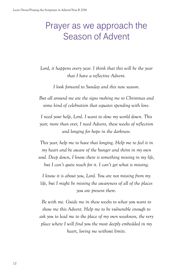## Prayer as we approach the Season of Advent

*Lord, it happens every year. I think that this will be the year that I have a reflective Advent.* 

*I look forward to Sunday and this new season.* 

*But all around me are the signs rushing me to Christmas and some kind of celebration that equates spending with love.* 

*I need your help, Lord. I want to slow my world down. This year, more than ever, I need Advent, these weeks of reflection and longing for hope in the darkness.*

*This year, help me to have that longing. Help me to feel it in my heart and be aware of the hunger and thirst in my own soul. Deep down, I know there is something missing in my life, but I can't quite reach for it. I can't get what is missing.*

*I know it is about you, Lord. You are not missing from my life, but I might be missing the awareness of all of the places you are present there.*

*Be with me. Guide me in these weeks to what you want to show me this Advent. Help me to be vulnerable enough to ask you to lead me to the place of my own weakness, the very place where I will find you the most deeply embedded in my heart, loving me without limits.*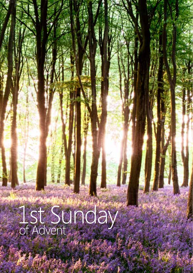# 1st Sunday of Advent

*Lectio Divina***|**Praying the Scriptures in Advent**|**Year B 2014

**13**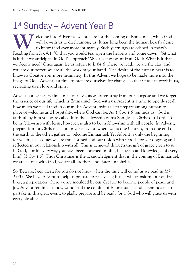## 1<sup>st</sup> Sunday – Advent Year B

Elcome into Advent as we prepare for the coming of Emmanuel, when God will be with us to dwell among us. It has long been the human heart's desire to know God ever more intimately. Such yearnings are echoed in today's Read will be with us to dwell among us. It has long been the human heart's desire to know God ever more intimately. Such yearnings are echoed in today's Reading from *Is 64:1*, 'O that you would tear open the heavens and come down.' Yet what is it that we anticipate in God's approach? What is it we want from God? What is it that we deeply need? Once again let us return to *Is 64:8* where we read, 'we are the clay, and you are our potter; we are all the work of your hand.' The desire of the human heart is to know its Creator ever more intimately. In this Advent we hope to be made more into the image of God. Advent is a time to prepare ourselves for change, so that God can work in us, recreating us in love and spirit.

Advent is a necessary time in all our lives as we often stray from our purpose and we forget the essence of our life, which is Emmanuel, God with us. Advent is a time to openly recall how much we need God in our midst. Advent invites us to prepare among humanity, place of welcome and hospitality, where God can be. As *1 Cor. 1:9* reminds us, 'God is faithful; by him you were called into the fellowship of his Son, Jesus Christ our Lord.' To be in fellowship with Jesus, however, is also to be in fellowship with all people. In Advent, preparation for Christmas is a universal event, where we as one Church, from one end of the earth to the other, gather to welcome Emmanuel. Yet Advent is only the beginning for when Jesus comes we are transformed and our union with God is forever ongoing and reflected in our relationship with all. This is achieved through the gift of grace given to us in God, 'for in every way you have been enriched in him, in speech and knowledge of every kind' (*1 Cor 1:5*). Thus Christmas is the acknowledgment that in the coming of Emmanuel, we are all one with God, we are all brothers and sisters in Christ.

So 'Beware, keep alert; for you do not know when the time will come' as we read in *Mk 13:33*. We have Advent to help us prepare to receive a gift that will transform our entire lives, a preparation where we are moulded by our Creator to become people of peace and joy. Advent reminds us how wonderful the coming of Emmanuel is and it reminds us to partake in this great event, to gladly prepare and be ready for a God who will grace us with every blessing.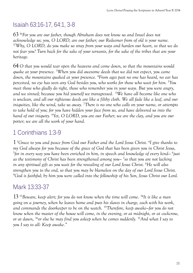## Isaiah 63:16-17, 64:1, 3-8

63 16*For you are our father, though Abraham does not know us and Israel does not acknowledge us; you, O LORD, are our father; our Redeemer from of old is your name.*  <sup>17</sup>*Why, O LORD, do you make us stray from your ways and harden our heart, so that we do not fear you? Turn back for the sake of your servants, for the sake of the tribes that are your heritage.* 

64 *O that you would tear open the heavens and come down, so that the mountains would quake at your presence.* <sup>3</sup> *When you did awesome deeds that we did not expect, you came down, the mountains quaked at your presence.* <sup>4</sup> *From ages past no one has heard, no ear has perceived, no eye has seen any God besides you, who works for those who wait for him.* <sup>5</sup> *You meet those who gladly do right, those who remember you in your ways. But you were angry, and we sinned; because you hid yourself we transgressed.* <sup>6</sup> *We have all become like one who is unclean, and all our righteous deeds are like a filthy cloth. We all fade like a leaf, and our iniquities, like the wind, take us away.* <sup>7</sup> *There is no one who calls on your name, or attempts to take hold of you; for you have hidden your face from us, and have delivered us into the hand of our iniquity.* <sup>8</sup> *Yet, O LORD, you are our Father; we are the clay, and you are our potter; we are all the work of your hand.*

## 1 Corinthians 1:3-9

1 3 *Grace to you and peace from God our Father and the Lord Jesus Christ.* <sup>4</sup> *I give thanks to my God always for you because of the grace of God that has been given you in Christ Jesus,*  <sup>5</sup>for in every way you have been enriched in him, in speech and knowledge of every kind–  $^6$ just *as the testimony of Christ has been strengthened among you—* <sup>7</sup> *so that you are not lacking in any spiritual gift as you wait for the revealing of our Lord Jesus Christ.* <sup>8</sup> *He will also strengthen you to the end, so that you may be blameless on the day of our Lord Jesus Christ.*  9 *God is faithful; by him you were called into the fellowship of his Son, Jesus Christ our Lord.* 

## Mark 13:33-37

13 33*Beware, keep alert; for you do not know when the time will come.* 34*It is like a man going on a journey, when he leaves home and puts his slaves in charge, each with his work, and commands the doorkeeper to be on the watch.* 35*Therefore, keep awake—for you do not know when the master of the house will come, in the evening, or at midnight, or at cockcrow, or at dawn,* 36*or else he may find you asleep when he comes suddenly.* 37*And what I say to you I say to all: Keep awake."*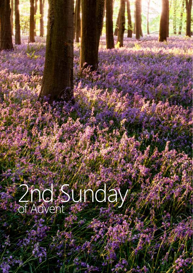## 2nd Sunday of Advent

**16**

*Lectio Divina***|**Praying the Scriptures in Advent**|**Year B 2014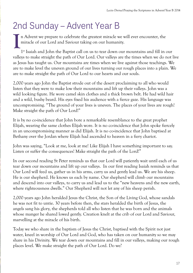## 2nd Sunday – Advent Year B

n Advent we prepare to celebrate the greatest miracle we will ever encounter, the miracle of our Lord and Saviour taking on our humanity. **I**

1st Isaiah and John the Baptist call on us to tear down our mountains and fill in our valleys to make straight the path of Our Lord. Our valleys are the times when we do not live as Jesus has taught us. Our mountains are times when we live against those teachings. We are to make level the uneven ground of our lives turning our rough places into a plain. We are to make straight the path of Our Lord to our hearts and our souls.

2,000 years ago John the Baptist strode out of the desert proclaiming to all who would listen that they were to make low their mountains and lift up their valleys. John was a wild looking figure. He wore camel skin clothes and a thick brown belt. He had wild hair and a wild, bushy beard. His eyes fixed his audience with a fierce gaze. His language was uncompromising. "The ground of your lives is uneven. The places of your lives are rough! Make straight the path of Our Lord!"

It is by no co-incidence that John bore a remarkable resemblance to the great prophet Elijah, wearing the same clothes Elijah wore. It is no co-incidence that John spoke fiercely in an uncompromising manner as did Elijah. It is no co-incidence that John baptised at Bethany over the Jordan where Elijah had ascended to heaven in a fiery chariot.

John was saying, "Look at me, look at me! Like Elijah I have something important to say. Listen or suffer the consequences! Make straight the path of the Lord!"

In our second reading St Peter reminds us that our Lord will patiently wait until each of us tear down our mountains and lift up our valleys. In our first reading Isaiah reminds us that Our Lord will feed us, gather us in his arms, carry us and gently lead us. We are his sheep. He is our shepherd. He knows us each by name. Our shepherd will climb our mountains and descend into our valleys, to carry us and lead us to the "new heavens and the new earth, where righteousness dwells." Our Shepherd will not let any of his sheep perish.

2,000 years ago John heralded Jesus the Christ, the Son of the Living God, whose sandals he was not fit to untie. 30 years before then, the stars heralded the birth of Jesus, the angels sang his glory, the shepherds told all who listen that he was born and the animals whose manger he shared lowed gently. Creation knelt at the crib of our Lord and Saviour, marvelling at the miracle of his birth.

Today we who share in the baptism of Jesus the Christ, baptised with the Spirit not just water, kneel in worship of Our Lord and God, who has taken on our humanity so we may share in his Divinity. We tear down our mountains and fill in our valleys, making our rough places level. We make straight the path of Our Lord. Do we?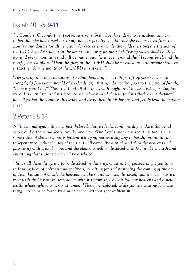## Isaiah 40:1-5, 9-11

40 *Comfort, O comfort my people, says your God.* <sup>2</sup> *Speak tenderly to Jerusalem, and cry to her that she has served her term, that her penalty is paid, that she has received from the Lord's hand double for all her sins.* <sup>3</sup> *A voice cries out: "In the wilderness prepare the way of the LORD, make straight in the desert a highway for our God.* <sup>4</sup> *Every valley shall be lifted up, and every mountain and hill be made low; the uneven ground shall become level, and the rough places a plain.* <sup>5</sup> *Then the glory of the LORD shall be revealed, and all people shall see it together, for the mouth of the LORD has spoken."* 

9 *Get you up to a high mountain, O Zion, herald of good tidings; lift up your voice with strength, O Jerusalem, herald of good tidings, lift it up, do not fear; say to the cities of Judah, "Here is your God!"* 10*See, the Lord GOD comes with might, and his arm rules for him; his reward is with him, and his recompense before him.* 11*He will feed his flock like a shepherd; he will gather the lambs in his arms, and carry them in his bosom, and gently lead the mother sheep.* 

#### 2 Peter 3:8-14

3 8 *But do not ignore this one fact, beloved, that with the Lord one day is like a thousand years, and a thousand years are like one day.* 9*The Lord is not slow about his promise, as some think of slowness, but is patient with you, not wanting any to perish, but all to come to repentance.* 10*But the day of the Lord will come like a thief, and then the heavens will pass away with a loud noise, and the elements will be dissolved with fire, and the earth and everything that is done on it will be disclosed.* 

<sup>11</sup>*Since all these things are to be dissolved in this way, what sort of persons ought you to be in leading lives of holiness and godliness,* 12*waiting for and hastening the coming of the day of God, because of which the heavens will be set ablaze and dissolved, and the elements will melt with fire?* 13*But, in accordance with his promise, we wait for new heavens and a new earth, where righteousness is at home.* 14*Therefore, beloved, while you are waiting for these things, strive to be found by him at peace, without spot or blemish.*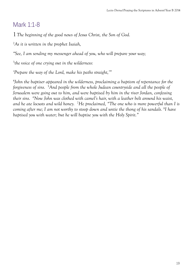## Mark 1:1-8

1 *The beginning of the good news of Jesus Christ, the Son of God.* 

2 *As it is written in the prophet Isaiah,* 

*"See, I am sending my messenger ahead of you, who will prepare your way;* 

3 *the voice of one crying out in the wilderness:* 

*'Prepare the way of the Lord, make his paths straight,'"* 

4 *John the baptiser appeared in the wilderness, proclaiming a baptism of repentance for the forgiveness of sins.* <sup>5</sup> *And people from the whole Judean countryside and all the people of Jerusalem were going out to him, and were baptised by him in the river Jordan, confessing their sins.* <sup>6</sup> *Now John was clothed with camel's hair, with a leather belt around his waist, and he ate locusts and wild honey.* <sup>7</sup> *He proclaimed, "The one who is more powerful than I is coming after me; I am not worthy to stoop down and untie the thong of his sandals.* <sup>8</sup> *I have baptised you with water; but he will baptise you with the Holy Spirit."*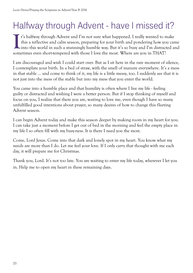## Halfway through Advent - have I missed it?

t's halfway through Advent and I'm not sure what happened. I really wanted to make this a reflective and calm season, preparing for your birth and pondering how you came It's halfway through Advent and I'm not sure what happened. I really wanted to make<br>this a reflective and calm season, preparing for your birth and pondering how you came<br>into this world in such a stunningly humble way. Bu sometimes even short-tempered with those I love the most. Where are you in THAT?

I am discouraged and wish I could start over. But as I sit here in the rare moment of silence, I contemplate your birth. In a bed of straw, with the smell of manure everywhere. It's a mess in that stable ... and come to think of it, my life is a little messy, too. I suddenly see that it is not just into the mess of the stable but into my mess that you enter the world.

You came into a humble place and that humility is often where I live my life - feeling guilty or distracted and wishing I were a better person. But if I stop thinking of myself and focus on you, I realize that there you are, waiting to love me, even though I have so many unfulfilled good intentions about prayer, so many desires of how to change this fleeting Advent season.

I can begin Advent today and make this season deeper by making room in my heart for you. I can take just a moment before I get out of bed in the morning and feel the empty place in my life I so often fill with my busy-ness. It is there I need you the most.

Come, Lord Jesus. Come into that dark and lonely spot in my heart. You know what my needs are more than I do. Let me feel your love. If I only carry that thought with me each day, it will prepare me for Christmas.

Thank you, Lord. It's not too late. You are waiting to enter my life today, wherever I let you in. Help me to open my heart in these remaining days.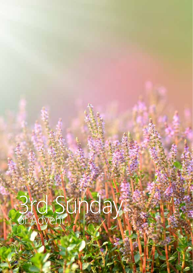# 3rd Sunday of Advent

**21**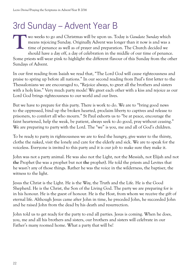## 3rd Sunday – Advent Year B

wo weeks to go and Christmas will be upon us. Today is *Gaudate Sunday* which means rejoicing Sunday. Originally Advent was longer than it now is and was a time of penance as well as of prayer and preparation. The Church decided we should have a day off, a day of celebration in the middle of our time of penance. Some priests will wear pink to highlight the different flavour of this Sunday from the other Sundays of Advent. **T**

In our first reading from Isaiah we read that, "The Lord God will cause righteousness and praise to spring up before all nations." In our second reading from Paul's first letter to the Thessalonians we are encouraged to, "Rejoice always, to greet all the brothers and sisters with a holy kiss." Very much party mode! We greet each other with a kiss and rejoice as our Lord God brings righteousness to our world and our lives.

But we have to prepare for this party. There is work to do. We are to "bring good news to the oppressed, bind up the broken hearted, proclaim liberty to captives and release to prisoners, to comfort all who mourn." St Paul exhorts us to "be at peace, encourage the faint heartened, help the weak, be patient, always seek to do good, pray without ceasing." We are preparing to party with the Lord. The "we" is you, me and all of God's children.

To be ready to party in righteousness we are to feed the hungry, give water to the thirsty, clothe the naked, visit the lonely and care for the elderly and sick. We are to speak for the voiceless. Everyone is invited to this party and it is our job to make sure they make it.

John was not a party animal. He was also not the Light, not the Messiah, not Elijah and not **the** Prophet (he was a prophet but not **the** prophet). He told the priests and Levites that he wasn't any of those things. Rather he was the voice in the wilderness, the baptiser, the witness to the light.

Jesus the Christ is the Light. He is the Way, the Truth and the Life. He is the Good Shepherd. He is the Christ, the Son of the Living God. The party we are preparing for is in his honour. He is the guest of honour. He is the Host, from whom we receive the gift of eternal life. Although Jesus came after John in time, he preceded John, he succeeded John and he raised John from the dead by his death and resurrection.

John told us to get ready for the party to end all parties. Jesus is coming. When he does, you, me and all his brothers and sisters, our brothers and sisters will celebrate in our Father's many roomed home. What a party that will be!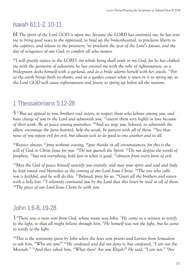## Isaiah 61:1-2, 10-11

61 *The spirit of the Lord GOD is upon me, because the LORD has anointed me; he has sent me to bring good news to the oppressed, to bind up the brokenhearted, to proclaim liberty to the captives, and release to the prisoners;* <sup>2</sup> *to proclaim the year of the Lord's favour, and the day of vengeance of our God; to comfort all who mourn.* 

<sup>10</sup>*I will greatly rejoice in the LORD, my whole being shall exult in my God; for he has clothed me with the garments of salvation, he has covered me with the robe of righteousness, as a bridegroom decks himself with a garland, and as a bride adorns herself with her jewels.* 11*For as the earth brings forth its shoots, and as a garden causes what is sown in it to spring up, so the Lord GOD will cause righteousness and praise to spring up before all the nations.* 

## 1 Thessalonians 5:12-28

5 12*But we appeal to you, brothers and sisters, to respect those who labour among you, and have charge of you in the Lord and admonish you;* 13*esteem them very highly in love because of their work. Be at peace among yourselves.* 14*And we urge you, beloved, to admonish the idlers, encourage the faint hearted, help the weak, be patient with all of them.* <sup>15</sup>See that *none of you repays evil for evil, but always seek to do good to one another and to all.* 

<sup>16</sup>*Rejoice always,* 17*pray without ceasing,* 18*give thanks in all circumstances; for this is the will of God in Christ Jesus for you.* 19*Do not quench the Spirit.* 20*Do not despise the words of prophets, 21but test everything; hold fast to what is good; 22abstain from every form of evil.* 

<sup>23</sup>*May the God of peace himself sanctify you entirely; and may your spirit and soul and body be kept sound and blameless at the coming of our Lord Jesus Christ.* 24*The one who calls you is faithful, and he will do this.* 25*Beloved, pray for us.* 26*Greet all the brothers and sisters with a holy kiss.* 27*I solemnly command you by the Lord that this letter be read to all of them.* <sup>28</sup>*The grace of our Lord Jesus Christ be with you.* 

## John 1:6-8, 19-28

1 6 *There was a man sent from God, whose name was John.* <sup>7</sup> *He came as a witness to testify to the light, so that all might believe through him.* <sup>8</sup> *He himself was not the light, but he came to testify to the light.* 

<sup>19</sup>*This is the testimony given by John when the Jews sent priests and Levites from Jerusalem to ask him, "Who are you?"* 20*He confessed and did not deny it, but confessed, "I am not the Messiah."* 21*And they asked him, "What then? Are you Elijah?" He said, "I am not." "Are*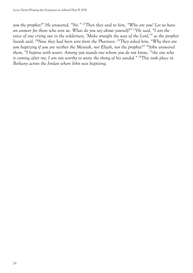*you the prophet?" He answered, "No."* 22*Then they said to him, "Who are you? Let us have an answer for those who sent us. What do you say about yourself?"* 23*He said, "I am the voice of one crying out in the wilderness, 'Make straight the way of the Lord,'" as the prophet Isaiah said.* 24*Now they had been sent from the Pharisees.* 25*They asked him, "Why then are you baptizing if you are neither the Messiah, nor Elijah, nor the prophet?"* 26*John answered them, "I baptise with water. Among you stands one whom you do not know,* 27*the one who is coming after me; I am not worthy to untie the thong of his sandal."* 28*This took place in Bethany across the Jordan where John was baptising.*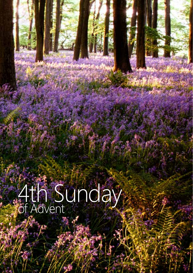# 4th Sunday of Advent

*Lectio Divina***|**Praying the Scriptures in Advent**|**Year B 2014

**25**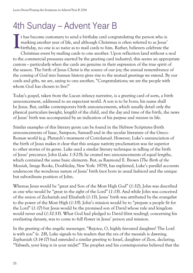## 4th Sunday – Advent Year B

t has become customary to send a birthday card congratulating the person who is marking another year of life, and although Christmas is often referred to as Jesus' If thas become customary to send a birthday card congratulating the person who is<br>marking another year of life, and although Christmas is often referred to as Jesus'<br>birthday, no one is so naive as to mail cards to him. Ra Christmas event by mailing cards to one another. Upon reflection (and without a nod to the commercial pressures exerted by the greeting card industry), this seems an appropriate custom -- particularly when the cards are genuine in their expression of the true spirit of the season. The birth of Jesus Christ is the source of our joy; the annual remembrance of the coming of God into human history gives rise to the mutual greetings we extend. By our cards and gifts, we are, saying to one another, "Congratulations; we are the people with whom God has chosen to live!"

Today's gospel, taken from the Lucan infancy narrative, is a greeting card of sorts, a birth announcement, addressed to an expectant world. A son is to be born; his name shall be Jesus. But, unlike contemporary birth announcements, which usually detail only the physical particulars (weight, length) of the child, and the day and time of the birth, the news of Jesus' birth was accompanied by an indication of his *purpose* and *mission* in life.

Similar examples of this literary genre can be found in the Hebrew Scriptures (birth announcements of Isaac, Sampson, Samuel) and in the secular literature of the Greco-Roman world (e.g. Plutarch's treatment of Coriolanus). However, Luke's annunciation of the birth of Jesus makes it clear that this unique nativity proclamation was far superior to other stories of its genre. Luke used a similar literary technique in telling of the birth of Jesus' precursor, John (*Luke 1:5-25*); he created two announcements of equal lengths, which contained the same basic elements. But, as Raymond E. Brown (*The Birth of the Messiah*, Image Books, Doubleday, New York: 1979), has explained, Luke's parallel accounts underscore the wondrous nature of Jesus' birth (not born in usual fashion) and the unique but subordinate position of John.

Whereas Jesus would be "great and Son of the Most High God" (*1:32*), John was described as one who would be "great in the sight of the Lord" (*1:15*). And while John was conceived of the union of Zechariah and Elizabeth (*1:13*), Jesus' birth was attributed by the evangelist to the power of the Most High (*1:35*). John's mission would be to "prepare a people fit for the Lord" (1:17) but Jesus would be the promised son of David whose rule and kingdom would never end (*1:32-33*). What God had pledged to David (first reading), concerning his everlasting dynasty, was to come to full flower in Jesus' person and mission.

In the greeting of the angelic messenger, "Rejoice, O, highly favoured daughter! The Lord is with you" (*v. 28*), Luke signals to his readers that the era of the messiah is dawning. Zephaniah (*3:14-17*) had extended a similar greeting to Israel, daughter of Zion, declaring, "Yahweh, your king is in your midst!" The prophet and his contemporaries believed that the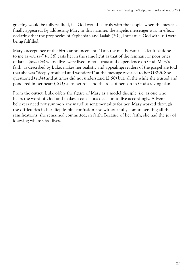greeting would be fully realized, i.e. God would be truly with the people, when the messiah finally appeared. By addressing Mary in this manner, the angelic messenger was, in effect, declaring that the prophecies of Zephaniah and Isaiah (*7:14*, Immanuel-God-with-us!) were being fulfilled.

Mary's acceptance of the birth announcement, "I am the maidservant . . . let it be done to me as you say" (*v. 38*) casts her in the same light as that of the remnant or poor ones of Israel (*anawim*) whose lives were lived in total trust and dependence on God. Mary's faith, as described by Luke, makes her realistic and appealing; readers of the gospel are told that she was "deeply troubled and wondered" at the message revealed to her (*1:29*). She questioned (*1:34*) and at times did not understand (*2:50*) but, all the while she trusted and pondered in her heart (*2:51*) as to her role and the role of her son in God's saving plan.

From the outset, Luke offers the figure of Mary as a model disciple, i.e. as one who hears the word of God and makes a conscious decision to live accordingly. Advent believers need not summon any maudlin sentimentality for her. Mary worked through the difficulties in her life; despite confusion and without fully comprehending all the ramifications, she remained committed, in faith. Because of her faith, she had the joy of knowing where God lives.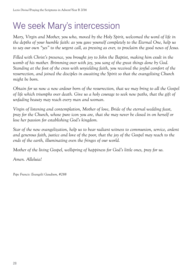## We seek Mary's intercession

*Mary, Virgin and Mother, you who, moved by the Holy Spirit, welcomed the word of life in the depths of your humble faith: as you gave yourself completely to the Eternal One, help us to say our own "yes" to the urgent call, as pressing as ever, to proclaim the good news of Jesus.* 

*Filled with Christ's presence, you brought joy to John the Baptist, making him exult in the womb of his mother. Brimming over with joy, you sang of the great things done by God. Standing at the foot of the cross with unyielding faith, you received the joyful comfort of the resurrection, and joined the disciples in awaiting the Spirit so that the evangelising Church might be born.* 

*Obtain for us now a new ardour born of the resurrection, that we may bring to all the Gospel of life which triumphs over death. Give us a holy courage to seek new paths, that the gift of unfading beauty may reach every man and woman.* 

*Virgin of listening and contemplation, Mother of love, Bride of the eternal wedding feast, pray for the Church, whose pure icon you are, that she may never be closed in on herself or lose her passion for establishing God's kingdom.* 

*Star of the new evangelization, help us to bear radiant witness to communion, service, ardent and generous faith, justice and love of the poor, that the joy of the Gospel may reach to the ends of the earth, illuminating even the fringes of our world.* 

*Mother of the living Gospel, wellspring of happiness for God's little ones, pray for us.* 

*Amen. Alleluia!* 

*Pope Francis: Evangelii Gaudium, #288*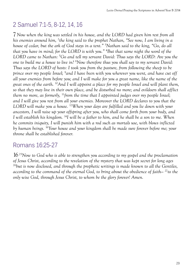## 2 Samuel 7:1-5, 8-12, 14, 16

7 *Now when the king was settled in his house, and the LORD had given him rest from all his enemies around him,* <sup>2</sup> *the king said to the prophet Nathan, "See now, I am living in a house of cedar, but the ark of God stays in a tent."* <sup>3</sup> *Nathan said to the king, "Go, do all that you have in mind; for the LORD is with you."* <sup>4</sup> *But that same night the word of the LORD came to Nathan:* <sup>5</sup> *Go and tell my servant David: Thus says the LORD: Are you the one to build me a house to live in?* <sup>8</sup> *Now therefore thus you shall say to my servant David: Thus says the LORD of hosts: I took you from the pasture, from following the sheep to be prince over my people Israel;* <sup>9</sup> *and I have been with you wherever you went, and have cut off all your enemies from before you; and I will make for you a great name, like the name of the great ones of the earth.* 10*And I will appoint a place for my people Israel and will plant them, so that they may live in their own place, and be disturbed no more; and evildoers shall afflict them no more, as formerly,* 11*from the time that I appointed judges over my people Israel; and I will give you rest from all your enemies. Moreover the LORD declares to you that the LORD will make you a house.* 12*When your days are fulfilled and you lie down with your ancestors, I will raise up your offspring after you, who shall come forth from your body, and I will establish his kingdom.* 14*I will be a father to him, and he shall be a son to me. When he commits iniquity, I will punish him with a rod such as mortals use, with blows inflicted by human beings.* 16*Your house and your kingdom shall be made sure forever before me; your throne shall be established forever.*

#### Romans 16:25-27

16 25*Now to God who is able to strengthen you according to my gospel and the proclamation of Jesus Christ, according to the revelation of the mystery that was kept secret for long ages*  <sup>26</sup>*but is now disclosed, and through the prophetic writings is made known to all the Gentiles, according to the command of the eternal God, to bring about the obedience of faith—* 27*to the only wise God, through Jesus Christ, to whom be the glory forever! Amen.*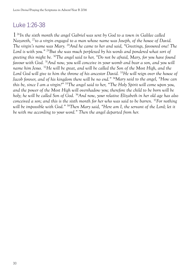## Luke 1:26-38

1 26*In the sixth month the angel Gabriel was sent by God to a town in Galilee called Nazareth,* 27*to a virgin engaged to a man whose name was Joseph, of the house of David. The virgin's name was Mary.* 28*And he came to her and said, "Greetings, favoured one! The Lord is with you."* 29*But she was much perplexed by his words and pondered what sort of greeting this might be.* 30*The angel said to her, "Do not be afraid, Mary, for you have found favour with God.* 31*And now, you will conceive in your womb and bear a son, and you will name him Jesus.* 32*He will be great, and will be called the Son of the Most High, and the Lord God will give to him the throne of his ancestor David.* 33*He will reign over the house of Jacob forever, and of his kingdom there will be no end."* 34*Mary said to the angel, "How can this be, since I am a virgin?"* 35*The angel said to her, "The Holy Spirit will come upon you, and the power of the Most High will overshadow you; therefore the child to be born will be holy; he will be called Son of God.* 36*And now, your relative Elizabeth in her old age has also conceived a son; and this is the sixth month for her who was said to be barren.* <sup>37</sup>*For nothing will be impossible with God."* 38*Then Mary said, "Here am I, the servant of the Lord; let it be with me according to your word." Then the angel departed from her.*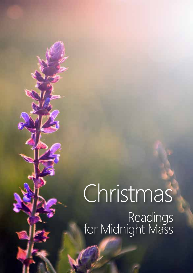# Christmas Readings<br>for Midnight Mass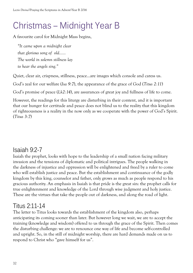## Christmas – Midnight Year B

A favourite carol for Midnight Mass begins,

*"It came upon a midnight clear that glorious song of old…… The world in solemn stillness lay to hear the angels sing."*

Quiet, clear air, crispness, stillness, peace…are images which console and caress us.

God's zeal for our welfare (*Isa 9:7*), the appearance of the grace of God (*Titus 2:11*)

God's promise of peace (*Lk2:14*), are assurances of great joy and fullness of life to come.

However, the readings for this liturgy are disturbing in their content, and it is important that our hunger for certitude and peace does not blind us to the reality that this kingdom of righteousness is a reality in the now only as we cooperate with the power of God's Spirit. (*Titus 3:7*)

## Isaiah 9:2-7

Isaiah the prophet, looks with hope to the leadership of a small nation facing military invasion and the tensions of diplomatic and political intrigues. The people walking in the darkness of injustice and oppression will be enlightened and freed by a ruler to come who will establish justice and peace. But the establishment and continuance of the godly kingdom by this king, counselor and father, only grows as much as people respond to his gracious authority. An emphasis in Isaiah is that pride is the great sin: the prophet calls for true enlightenment and knowledge of the Lord through wise judgment and holy justice. These are the virtues that take the people out of darkness, and along the road of light.

## Titus 2:11-14

The letter to Titus looks towards the establishment of the kingdom also, perhaps anticipating its coming sooner than later. But however long we wait, we are to accept the training (knowledge and wisdom) offered to us through the grace of the Spirit. Then comes the disturbing challenge: we are to renounce one way of life and become self-controlled and upright. So, in the still of midnight worship, there are hard demands made on us to respond to Christ who "gave himself for us".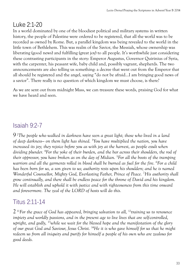## Luke 2:1-20

In a world dominated by one of the bloodiest political and military systems in written history, the people of Palestine were ordered to be registered, that all the world was to be recorded as owned by Rome. But, a parallel kingdom was being revealed to the world in the little town of Bethlehem. This was realm of the Savior, the Messiah, whose ownership was liberating (good news) and fulfilling (great joy) to all people. It's worthwhile just considering these contrasting participants in the story: Emperor Augustus, Governor Quirinius of Syria, with the carpenter, his peasant wife, baby child and, possibly vagrant, shepherds. The two announcements are also telling us something: a decree that went out from the Emperor that all should be registered and the angel, saying "do not be afraid…I am bringing good news of a savior". There really is no question of which kingdom we must choose, is there?

As we are sent out from midnight Mass, we can treasure these words, praising God for what we have heard and seen.

## Isaiah 9:2-7

9 2 *The people who walked in darkness have seen a great light; those who lived in a land of deep darkness— on them light has shined.* <sup>3</sup> *You have multiplied the nation, you have increased its joy; they rejoice before you as with joy at the harvest, as people exult when dividing plunder.* <sup>4</sup> *For the yoke of their burden, and the bar across their shoulders, the rod of their oppressor, you have broken as on the day of Midian.* <sup>5</sup> *For all the boots of the tramping warriors and all the garments rolled in blood shall be burned as fuel for the fire.* <sup>6</sup> *For a child has been born for us, a son given to us; authority rests upon his shoulders; and he is named Wonderful Counsellor, Mighty God, Everlasting Father, Prince of Peace.* <sup>7</sup> *His authority shall grow continually, and there shall be endless peace for the throne of David and his kingdom. He will establish and uphold it with justice and with righteousness from this time onward and forevermore. The zeal of the LORD of hosts will do this.* 

## Titus 2:11-14

2 11*For the grace of God has appeared, bringing salvation to all,* 12*training us to renounce impiety and worldly passions, and in the present age to live lives that are self-controlled, upright, and godly,* 13*while we wait for the blessed hope and the manifestation of the glory of our great God and Saviour, Jesus Christ.* 14*He it is who gave himself for us that he might redeem us from all iniquity and purify for himself a people of his own who are zealous for good deeds.*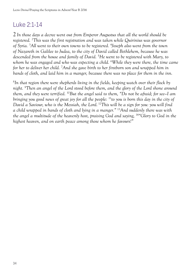## Luke 2:1-14

2 *In those days a decree went out from Emperor Augustus that all the world should be registered.* <sup>2</sup> *This was the first registration and was taken while Quirinius was governor of Syria.* <sup>3</sup> *All went to their own towns to be registered.* <sup>4</sup> *Joseph also went from the town of Nazareth in Galilee to Judea, to the city of David called Bethlehem, because he was descended from the house and family of David.* <sup>5</sup> *He went to be registered with Mary, to whom he was engaged and who was expecting a child.* <sup>6</sup> *While they were there, the time came for her to deliver her child.* <sup>7</sup> *And she gave birth to her firstborn son and wrapped him in bands of cloth, and laid him in a manger, because there was no place for them in the inn.* 

8 *In that region there were shepherds living in the fields, keeping watch over their flock by night.* <sup>9</sup> *Then an angel of the Lord stood before them, and the glory of the Lord shone around them, and they were terrified.* 10*But the angel said to them, "Do not be afraid; for see—I am bringing you good news of great joy for all the people:* 11*to you is born this day in the city of David a Saviour, who is the Messiah, the Lord.* 12*This will be a sign for you: you will find a child wrapped in bands of cloth and lying in a manger."* 13*And suddenly there was with the angel a multitude of the heavenly host, praising God and saying,* 14*"Glory to God in the highest heaven, and on earth peace among those whom he favours!"*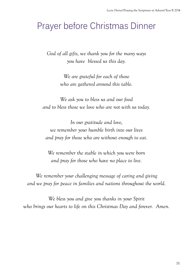## Prayer before Christmas Dinner

*God of all gifts, we thank you for the many ways you have blessed us this day.* 

> *We are grateful for each of those who are gathered around this table.*

*We ask you to bless us and our food and to bless those we love who are not with us today.* 

*In our gratitude and love, we remember your humble birth into our lives and pray for those who are without enough to eat.* 

*We remember the stable in which you were born and pray for those who have no place to live.* 

*We remember your challenging message of caring and giving and we pray for peace in families and nations throughout the world.* 

*We bless you and give you thanks in your Spirit who brings our hearts to life on this Christmas Day and forever. Amen.*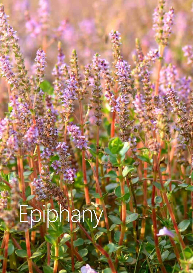# Epiphany

**36**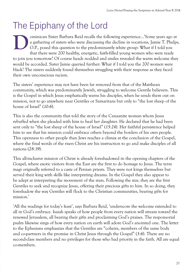## The Epiphany of the Lord

ominican Sister Barbara Reid recalls the following experience…'Some years ago at a gathering of sisters who were discussing the decline in vocations, Jamie T. Phelps, O.P., posed this question to the predominantly white group: What if I told you that there were 200 healthy, energetic, faith-filled young women who were ready to join you tomorrow? Of course heads nodded and smiles revealed the warm welcome they would be accorded. Sister Jamie queried further: What if I told you the 200 women were black? The sisters suddenly found themselves struggling with their response as they faced their own unconscious racism. **D**

The sisters' experience may not have been far removed from that of the Matthean community, which was predominantly Jewish, struggling to welcome Gentile believers. This is the Gospel in which Jesus emphatically warns his disciples, when he sends them out on mission, not to go anywhere near Gentiles or Samaritans but only to "the lost sheep of the house of Israel" (*10:6*).

This is also the community that told the story of the Canaanite woman whom Jesus rebuffed when she pleaded with him to heal her daughter. He declared that he had been sent only to "the lost sheep of the house of Israel" (*15:24*). Her faithful persistence helped him to see that his mission could embrace others beyond the borders of his own people. This openness to other people than Jews reaches a climax at the conclusion of the Gospel, where the final words of the risen Christ are his instruction to go and make disciples of all nations (*28:19*).

This all-inclusive mission of Christ is already foreshadowed in the opening chapters of the Gospel, where exotic visitors from the East are the first to do homage to Jesus. The term magi originally referred to a caste of Persian priests. They were not kings themselves but served their king with skills like interpreting dreams. In the Gospel they also appear to be adept at interpreting the movement of the stars. Following the star, they are the first Gentiles to seek and recognize Jesus, offering their precious gifts to him. In so doing, they foreshadow the way Gentiles will flock to the Christian communities, bearing gifts for mission.'

'All the readings for today's feast', says Barbara Reid, 'underscore the welcome extended to all in God's embrace. Isaiah speaks of how people from every nation will stream toward the renewed Jerusalem, all bearing their gifts and proclaiming God's praises. The responsorial psalm likewise sings of how every nation on earth will adore God's anointed one. The letter to the Ephesians emphasizes that the Gentiles are "coheirs, members of the same body and co-partners in the promise in Christ Jesus through the Gospel" (*3:6*). There are no second-class members and no privileges for those who had priority in the faith. All are equal co-members.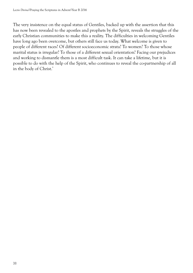The very insistence on the equal status of Gentiles, backed up with the assertion that this has now been revealed to the apostles and prophets by the Spirit, reveals the struggles of the early Christian communities to make this a reality. The difficulties in welcoming Gentiles have long ago been overcome, but others still face us today. What welcome is given to people of different races? Of different socioeconomic strata? To women? To those whose marital status is irregular? To those of a different sexual orientation? Facing our prejudices and working to dismantle them is a most difficult task. It can take a lifetime, but it is possible to do with the help of the Spirit, who continues to reveal the co-partnership of all in the body of Christ.'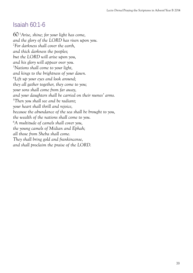#### Isaiah 60:1-6

60 <sup>1</sup> *Arise, shine; for your light has come, and the glory of the LORD has risen upon you.*  2 *For darkness shall cover the earth, and thick darkness the peoples; but the LORD will arise upon you, and his glory will appear over you.*  3 *Nations shall come to your light, and kings to the brightness of your dawn.*  4 *Lift up your eyes and look around; they all gather together, they come to you; your sons shall come from far away, and your daughters shall be carried on their nurses' arms.*  5 *Then you shall see and be radiant; your heart shall thrill and rejoice, because the abundance of the sea shall be brought to you, the wealth of the nations shall come to you.*  6 *A multitude of camels shall cover you, the young camels of Midian and Ephah; all those from Sheba shall come. They shall bring gold and frankincense, and shall proclaim the praise of the LORD.*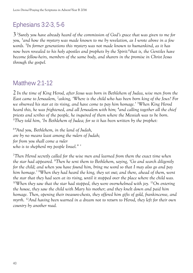## Ephesians 3:2-3, 5-6

3 2 *Surely you have already heard of the commission of God's grace that was given to me for you,* <sup>3</sup> *and how the mystery was made known to me by revelation, as I wrote above in a few words.* <sup>5</sup> *In former generations this mystery was not made known to humankind, as it has now been revealed to his holy apostles and prophets by the Spirit:*<sup>6</sup> *that is, the Gentiles have become fellow-heirs, members of the same body, and sharers in the promise in Christ Jesus through the gospel.*

#### Matthew 2:1-12

2 *In the time of King Herod, after Jesus was born in Bethlehem of Judea, wise men from the East came to Jerusalem,* <sup>2</sup> *asking, 'Where is the child who has been born king of the Jews? For we observed his star at its rising, and have come to pay him homage.'* <sup>3</sup> *When King Herod heard this, he was frightened, and all Jerusalem with him;* <sup>4</sup> *and calling together all the chief priests and scribes of the people, he inquired of them where the Messiah was to be born.*  5 *They told him, 'In Bethlehem of Judea; for so it has been written by the prophet:*

6 *"And you, Bethlehem, in the land of Judah, are by no means least among the rulers of Judah; for from you shall come a ruler who is to shepherd my people Israel." '*

7 *Then Herod secretly called for the wise men and learned from them the exact time when the star had appeared.* <sup>8</sup> *Then he sent them to Bethlehem, saying, 'Go and search diligently for the child; and when you have found him, bring me word so that I may also go and pay him homage.'* <sup>9</sup> *When they had heard the king, they set out; and there, ahead of them, went the star that they had seen at its rising, until it stopped over the place where the child was.*  <sup>10</sup>When they saw that the star had stopped, they were overwhelmed with joy. <sup>11</sup>On entering *the house, they saw the child with Mary his mother; and they knelt down and paid him homage. Then, opening their treasure-chests, they offered him gifts of gold, frankincense, and myrrh.* 12*And having been warned in a dream not to return to Herod, they left for their own country by another road.*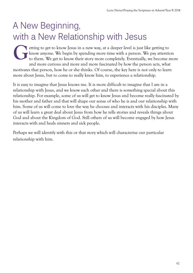## A New Beginning, with a New Relationship with Jesus

etting to get to know Jesus in a new way, at a deeper level is just like getting to know anyone. We begin by spending more time with a person. We pay attention to them. We get to know their story more completely. Eventually, we become more and more curious and more and more fascinated by how the person acts, what motivates that person, how he or she thinks. Of course, the key here is not only to learn more about Jesus, but to come to really know him, to experience a relationship. **G**

It is easy to imagine that Jesus knows me. It is more difficult to imagine that I am in a relationship with Jesus, and we know each other and there is something special about this relationship. For example, some of us will get to know Jesus and become really fascinated by his mother and father and that will shape our sense of who he is and our relationship with him. Some of us will come to love the way he chooses and interacts with his disciples. Many of us will learn a great deal about Jesus from how he tells stories and reveals things about God and about the Kingdom of God. Still others of us will become engaged by how Jesus interacts with and heals sinners and sick people.

Perhaps we will identify with this or that story which will characterise our particular relationship with him.